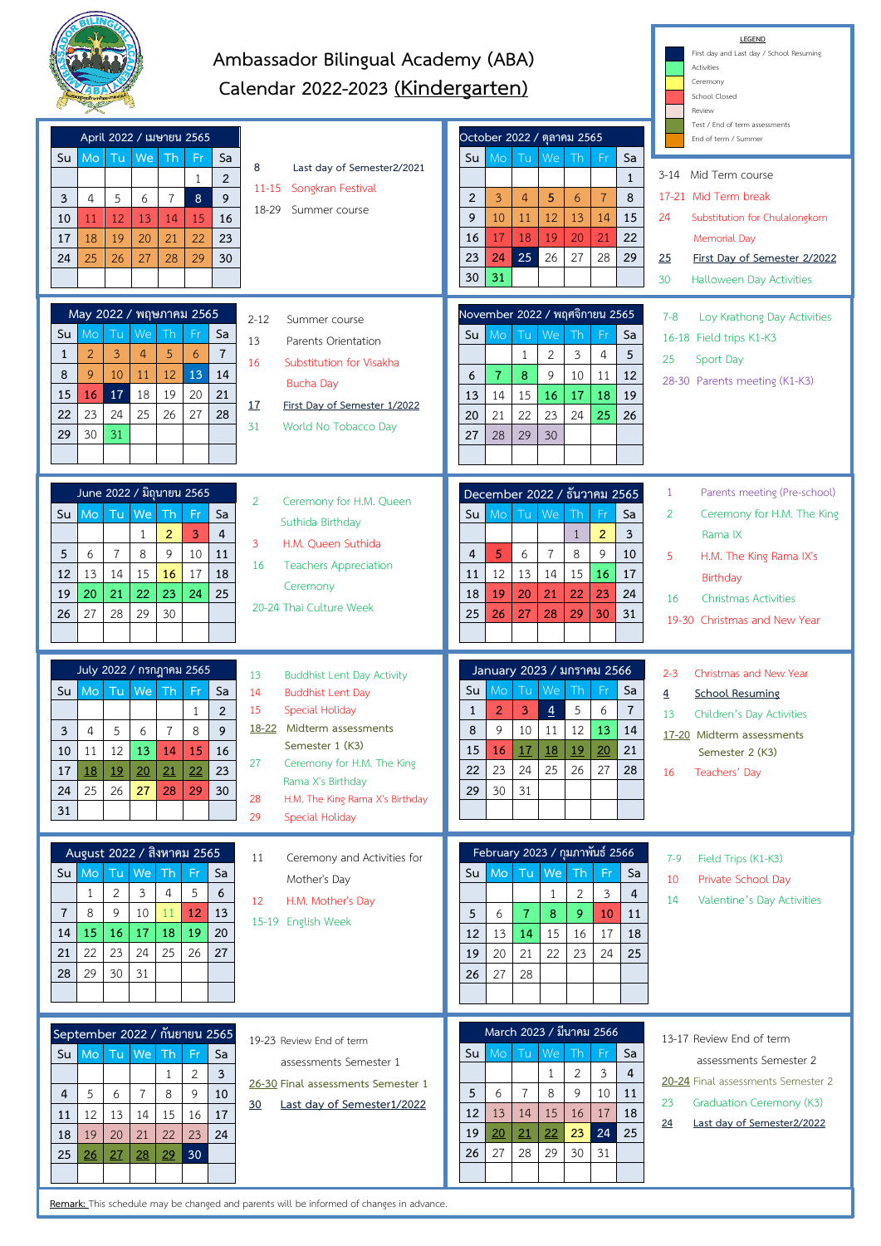

## **Ambassador Bilingual Academy (ABA) Calendar 2022-2023 (Kindergarten)**

**LEGEND** First day and Last day / School Resuming

**Activities** 

|                                                                                                                                                                                                                                      | Calendar 2022-2023 (Kindergarten)                                                                                                                                                                                                                                                                                                                                                   |                                                                                                                                                                                                                                                                                                         | Ceremony<br>School Closed<br>Review                                                                                                                                                                                                       |
|--------------------------------------------------------------------------------------------------------------------------------------------------------------------------------------------------------------------------------------|-------------------------------------------------------------------------------------------------------------------------------------------------------------------------------------------------------------------------------------------------------------------------------------------------------------------------------------------------------------------------------------|---------------------------------------------------------------------------------------------------------------------------------------------------------------------------------------------------------------------------------------------------------------------------------------------------------|-------------------------------------------------------------------------------------------------------------------------------------------------------------------------------------------------------------------------------------------|
| April 2022 / เมษายน 2565<br>Tu<br>We<br>Mo<br>Th<br>Su<br>3<br>$\overline{a}$<br>5<br>$\overline{7}$<br>6<br>12<br>13<br>11<br>14<br>10<br>20<br>18<br>19<br>21<br>17<br>25<br>26<br>27<br>28<br>24                                  | Fr<br>Sa<br>8<br>Last day of Semester2/2021<br>$\overline{2}$<br>$\mathbf{1}$<br>Songkran Festival<br>11-15<br>9<br>8<br>18-29<br>Summer course<br>16<br>15<br>22<br>23<br>29<br>30                                                                                                                                                                                                 | October 2022 / ตุลาคม 2565<br>Tu<br>Sa<br>Su<br>Mo<br>We<br>Th<br>Fr<br>$\mathbf{1}$<br>$\overline{2}$<br>$\overline{4}$<br>5<br>6<br>$\overline{7}$<br>8<br>3<br>9<br>12<br>13<br>10<br>11<br>14<br>15<br>21<br>18<br>19<br>20<br>22<br>16<br>17<br>23<br>25<br>26<br>27<br>28<br>29<br>24<br>30<br>31 | Test / End of term assessments<br>End of term / Summer<br>Mid Term course<br>3-14<br>17-21 Mid Term break<br>24<br>Substitution for Chulalongkorn<br>Memorial Day<br>25<br>First Day of Semester 2/2022<br>30<br>Halloween Day Activities |
| May 2022 / พฤษภาคม 2565<br>Tu<br>We<br>Mo<br>Th<br>Su<br>$\overline{2}$<br>3<br>$\overline{4}$<br>5<br>1<br>8<br>9<br>10<br>12<br>11<br>17<br>18<br>19<br>15<br>16<br>23<br>24<br>25<br>26<br>22<br>29<br>30<br>31                   | $2 - 12$<br>Summer course<br>Sa<br>Fr<br>13<br>Parents Orientation<br>6<br>$\overline{7}$<br>16<br>Substitution for Visakha<br>13<br>14<br>Bucha Day<br>21<br>20<br><u>17</u><br>First Day of Semester 1/2022<br>27<br>28<br>31<br>World No Tobacco Day                                                                                                                             | November 2022 / พฤศจิกายน 2565<br>Tu<br>We<br>Mo<br>Th<br>Sa<br>Su<br>$\overline{2}$<br>3<br>$\mathbf{1}$<br>$\overline{4}$<br>5<br>9<br>10<br>$\overline{7}$<br>8<br>11<br>12<br>6<br>19<br>13<br>14<br>15<br>16<br>17<br>18<br>21<br>22<br>23<br>25<br>20<br>24<br>26<br>27<br>28<br>29<br>30         | $7 - 8$<br>Loy Krathong Day Activities<br>16-18 Field trips K1-K3<br>25<br>Sport Day<br>28-30 Parents meeting (K1-K3)                                                                                                                     |
| June 2022 / มิถุนายน 2565<br>Tu<br>We<br>Mo<br>Th<br>Su<br>$\overline{2}$<br>$\mathbf{1}$<br>9<br>5<br>6<br>$\overline{7}$<br>8<br>13<br>14<br>15<br>12<br>16<br>22<br>20<br>21<br>23<br>19<br>27<br>28<br>29<br>30<br>26            | $\overline{2}$<br>Ceremony for H.M. Queen<br>Sa<br>Fr<br>Suthida Birthday<br>3<br>4<br>3<br>H.M. Queen Suthida<br>10<br>11<br><b>Teachers Appreciation</b><br>16<br>17<br>18<br>Ceremony<br>25<br>24<br>20-24 Thai Culture Week                                                                                                                                                     | December 2022 / ธันวาคม 2565<br>Tu<br>We<br>Th<br>Su<br>Mo<br>Fr<br>Sa<br>$\overline{2}$<br>$\mathbf{1}$<br>3<br>8<br>9<br>5<br>6<br>$\overline{7}$<br>10<br>4<br>12<br>13<br>14<br>15<br>16<br>11<br>17<br>22<br>23<br>18<br>19<br>20<br>21<br>24<br>25<br>27<br>28<br>29<br>30<br>26<br>31            | Parents meeting (Pre-school)<br>$\mathbf{1}$<br>$\overline{2}$<br>Ceremony for H.M. The King<br>Rama IX<br>5<br>H.M. The King Rama IX's<br>Birthday<br>16<br><b>Christmas Activities</b><br>19-30 Christmas and New Year                  |
| July 2022 / กรกฎาคม 2565<br>Tu<br>We<br>Th.<br>Mo<br>Su<br>3<br>5<br>$\overline{4}$<br>$\overline{7}$<br>6<br>12<br>10<br>11<br>13<br>14<br>21<br>18<br>19<br>20<br>17<br>25<br>26<br>27<br>28<br>24<br>31                           | 13<br><b>Buddhist Lent Day Activity</b><br><b>Fr</b><br>Sa<br>14<br><b>Buddhist Lent Day</b><br>15<br>$\overline{2}$<br>Special Holiday<br>$\mathbf{1}$<br>Midterm assessments<br>18-22<br>8<br>9<br>Semester 1 (K3)<br>15<br>16<br>27<br>Ceremony for H.M. The King<br>23<br>22<br>Rama X's Birthday<br>29<br>30<br>28<br>H.M. The King Rama X's Birthday<br>29<br>Special Holiday | January 2023 / มกราคม 2566<br>Tu<br>We<br>Th<br>Fr<br>Sa<br>Su<br>Mo<br>5<br>$\overline{3}$<br>6<br>$\overline{7}$<br>2<br>$\overline{4}$<br>1<br>9<br>12<br>10<br>13<br>8<br>11<br>14<br>18<br>19<br>20<br>21<br>15<br>16<br>17<br>23<br>25<br>24<br>26<br>22<br>27<br>28<br>30<br>31<br>29            | $2 - 3$<br>Christmas and New Year<br><b>School Resuming</b><br>$\overline{4}$<br>13<br>Children's Day Activities<br>17-20 Midterm assessments<br>Semester 2 (K3)<br>Teachers' Day<br>16                                                   |
| August 2022 / สิงหาคม 2565<br>We<br>Tu<br>Th<br>Su l<br>Mo<br>$\overline{2}$<br>3<br>1<br>$\overline{4}$<br>8<br>9<br>$\overline{7}$<br>10<br>11<br>17<br>15<br>16<br>18<br>14<br>23<br>22<br>24<br>25<br>21<br>29<br>30<br>31<br>28 | Ceremony and Activities for<br>11<br>Fr<br>Sa<br>Mother's Day<br>5<br>6<br>12<br>H.M. Mother's Day<br>12<br>13<br>15-19 English Week<br>19<br>20<br>26<br>27                                                                                                                                                                                                                        | February 2023 / กุมภาพันธ์ 2566<br>Tu We<br>M <sub>o</sub><br>Th<br>Su l<br>Fr<br>Sa<br>2<br>3<br>$\overline{4}$<br>1<br>$\overline{9}$<br>5<br>6<br>$\overline{7}$<br>8<br>10<br>11<br>15<br>12<br>13<br>14<br>16<br>17<br>18<br>20<br>21<br>22<br>23<br>24<br>25<br>19<br>28<br>26<br>27              | Field Trips (K1-K3)<br>$7-9$<br>Private School Day<br>10<br>14<br>Valentine's Day Activities                                                                                                                                              |
| September 2022 / กันยายน 2565<br>Mo Tu<br>We<br><b>Th</b><br>Su<br>$\mathbf{1}$<br>$\overline{7}$<br>5<br>8<br>$\overline{4}$<br>6<br>12<br>13<br>14<br>15<br>11<br>21<br>22<br>20<br>18<br>19<br>26<br>27<br>28<br>29<br>25         | 19-23 Review End of term<br>Fr<br>Sa<br>assessments Semester 1<br>$\overline{2}$<br>$\overline{3}$<br>26-30 Final assessments Semester 1<br>9<br>10<br>Last day of Semester1/2022<br>30<br>16<br>17<br>23<br>24<br>30                                                                                                                                                               | March 2023 / มีนาคม 2566<br>M <sub>O</sub><br>Tu<br>We<br>Su<br>Th<br>Fr<br>Sa<br>$\overline{2}$<br>3<br>$\mathbf{1}$<br>4<br>$\overline{7}$<br>8<br>9<br>5<br>10<br>11<br>6<br>12<br>16<br>18<br>13<br>15<br>17<br>14<br>24<br>19<br>21<br>22<br>23<br>25<br>20<br>28<br>29<br>30<br>26<br>27<br>31    | 13-17 Review End of term<br>assessments Semester 2<br>20-24 Final assessments Semester 2<br>23<br>Graduation Ceremony (K3)<br>Last day of Semester2/2022<br>24                                                                            |

**Remark:** This schedule may be changed and parents will be informed of changes in advance.